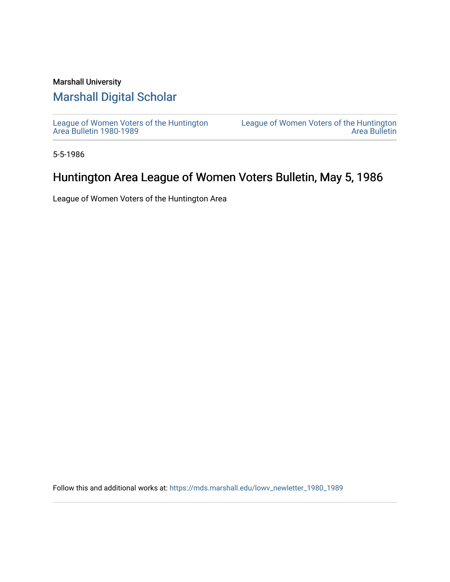### Marshall University

## [Marshall Digital Scholar](https://mds.marshall.edu/)

[League of Women Voters of the Huntington](https://mds.marshall.edu/lowv_newletter_1980_1989) [Area Bulletin 1980-1989](https://mds.marshall.edu/lowv_newletter_1980_1989) 

[League of Women Voters of the Huntington](https://mds.marshall.edu/lowv_newsletter)  [Area Bulletin](https://mds.marshall.edu/lowv_newsletter) 

5-5-1986

## Huntington Area League of Women Voters Bulletin, May 5, 1986

League of Women Voters of the Huntington Area

Follow this and additional works at: [https://mds.marshall.edu/lowv\\_newletter\\_1980\\_1989](https://mds.marshall.edu/lowv_newletter_1980_1989?utm_source=mds.marshall.edu%2Flowv_newletter_1980_1989%2F56&utm_medium=PDF&utm_campaign=PDFCoverPages)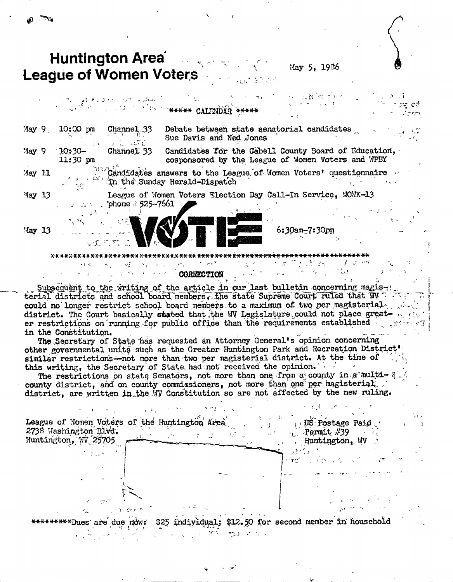**Huntington Area** 

**League of Women Voters** 

May 5. 1936

|                 |                                        | $\mathcal{A}(\mathcal{D}_{\mathcal{C}}) = \mathcal{A}(\mathcal{B}_{\mathcal{C}}) \mathcal{A}(\mathcal{C}) = \mathcal{G}(\mathcal{D}_{\mathcal{C}}) \mathcal{A}(\mathcal{B} \mathcal{A})$                                                                                                                            | AND A CONTROL OF THE STATE WARRANT CALIMDAR ANARAY                                                         | $\mathcal{H}$ :         | ್ನುಮಾರ್ಚ್ ೧೯೮        | ಾ ಭಾ<br>$\sim$ $\sim$ $\sim$ |
|-----------------|----------------------------------------|---------------------------------------------------------------------------------------------------------------------------------------------------------------------------------------------------------------------------------------------------------------------------------------------------------------------|------------------------------------------------------------------------------------------------------------|-------------------------|----------------------|------------------------------|
| May 9           | $10:00 \text{ pm}$                     | Channel33                                                                                                                                                                                                                                                                                                           | Debate between state senatorial candidates<br>Sue Davis and Ned Jones                                      |                         |                      |                              |
| $'$ lay 9       | $10:30-$<br>$11:30$ pm                 | Channel 33                                                                                                                                                                                                                                                                                                          | Candidates for the Cabell County Board of Education,<br>cosponsored by the League of Women Voters and WPBY |                         |                      |                              |
| May 11          | $\mathcal{L}^{\mathcal{L}}$            |                                                                                                                                                                                                                                                                                                                     | $\sim$ Candidates answers to the League of Women Voters' questionnaire<br>the Sunday Herald-Dispatch       |                         |                      |                              |
| $\text{May} 13$ |                                        | $\frac{1}{2}$ $\frac{1}{2}$ $\frac{1}{2}$ $\frac{1}{2}$ $\frac{1}{2}$ $\frac{1}{2}$ $\frac{1}{2}$ $\frac{1}{2}$ $\frac{1}{2}$ $\frac{1}{2}$ $\frac{1}{2}$ $\frac{1}{2}$ $\frac{1}{2}$ $\frac{1}{2}$ $\frac{1}{2}$ $\frac{1}{2}$ $\frac{1}{2}$ $\frac{1}{2}$ $\frac{1}{2}$ $\frac{1}{2}$ $\frac{1}{2}$ $\frac{1}{2}$ | League of Women Voters Election Day Call-In Service, WOWK-13                                               |                         |                      |                              |
| '4ay 13         | $\sim 10^{-2}$                         | <b>心见</b> 热,然后心。                                                                                                                                                                                                                                                                                                    |                                                                                                            |                         | $6:30$ am $-7:30$ pm |                              |
|                 | ****** <del>************</del><br>医苯 堤 | NF.<br>法国美国公司 医小脑神经 计标准系统                                                                                                                                                                                                                                                                                           | CORRECTION                                                                                                 | $\mathcal{M}^{\pm}$ and |                      |                              |

Subsequent to the writing of the article in our last bulletin concerning magisterial districts and school board members, the state Supreme Court ruled that W could no longer restrict school board members to a maximum of two per magisterial. district. The Court basically stated that the WV Legislature could not place greater restrictions on running for public office than the requirements established in the Constitution.

The Secretary of State has requested an Attorney General's opinion concerning other governmental units such as the Greater Huntington Park and Recreation District' similar restrictions—not more than two per magisterial district. At the time of this writing, the Secretary of State had not received the opinion.

The restrictions on state Senators, not more than one from a county in a multicounty district, and on county commissioners, not more than one per magisterial. district, are written in the WV Constitution so are not affected by the new ruling.

US Postage Paid. League of Momen Voters of the Huntington Area.  $\tau_{\nu}$ . Permit #39 2738 Washington Blvd. Huntington,  $W$ Huntington, WV

\$12.50 for second member in household \$25 \*\*\*\*Dues are due now: individual;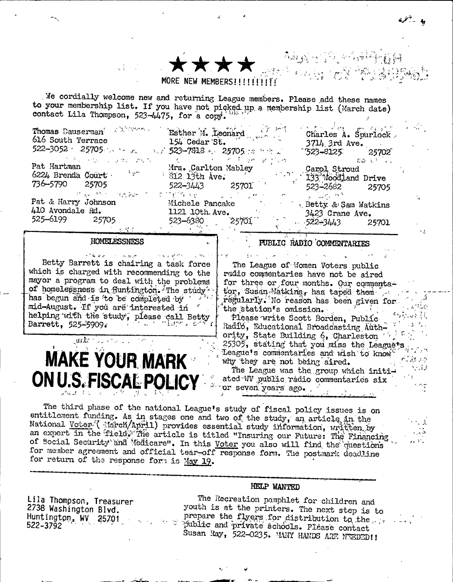#### MORE NEW MEMBERS!!!!

We cordially welcome new and returning League members. Please add these names to your membership list. If you have not picked up a membership list (March date) contact Lila Thompson, 523-4475, for a copy.

| Thomas Dauserman <sup>2</sup> 2010/2010<br>616 South Terrace<br>$522 - 3052 = 25705$                 | Esther M. Leonard<br>154 Cedar St.<br>Void 523-7818 a. 25705 cm frit Li                           | Charles A. Spurlock<br>$3714$ , 3rd Ave.<br>$-523 - 8125$ 25702                                                                                            |
|------------------------------------------------------------------------------------------------------|---------------------------------------------------------------------------------------------------|------------------------------------------------------------------------------------------------------------------------------------------------------------|
| クリー・ロー しょかいがいし<br>Pat Hartman<br>العجيزية<br>6224 Brenda Court .<br>736–5790<br>25705                | න වි දහ අනන්ගත :<br>Mrs. Carlton Mabley<br>$\frac{1}{2}$ 312 13th Ave.<br>522-3443 25701          | -೧೦೦ ಕನ್ನ<br>Carol Stroud<br>$133$ $\frac{1}{2}$ $\frac{1}{2}$ $\frac{1}{2}$ $\frac{1}{2}$ $\frac{1}{2}$ and $\frac{1}{2}$ $\frac{1}{2}$<br>523-2682 25705 |
| official of the first computation of<br>Pat & Harry Johnson<br>410 Avondale Rd.<br>525-6199<br>25705 | at the things of the<br>ation of the se<br>Michele Pancake<br>1121 10th Ave.<br>523–6380<br>25701 | ್ ಪಾಲ್ವಿ ಮಾಡಿ<br><b>Example 1 Betty &amp; Sam Watkins</b><br>$3423$ Crane Ave.<br>$522 - 3443$<br>25701                                                    |

#### **HOMELESSNESS**

معيدت  $\sigma_{\rm V}/\sigma_{\rm c}/\sigma$ Betty Barrett is chairing a task force which is charged with recommending to the mayor a program to deal with the problems of homelessness in fluntington. The study has begun and is to be completed by mid-August. If you are interested in helping with the study, please call Betty Barrett, 525-5909.

# **MAKE YOUR MARK** ON U.S. FISCAL POLICY

The League of Women Voters public radio commentaries have not be aired for three or four months. Our commentator, Susan-Matkins, has taped them regularly. No reason has been given for the station's omission. Please write Scott Borden, Public Radio, Educational Broadcasting Authority, State Building 6, Charleston 25305, stating that you miss the League's League's commentaries and wish to know why they are not being aired. The League was the group which initiated W public rádio commentaries six or seven years ago.

PUBLIC RADIO COMMENTARIES

به -بنم

The third phase of the national League's study of fiscal policy issues is on entitlement funding. As in stages one and two of the study, an article in the National Voter (darch/April) provides essential study information, written by an expert in the field. The article is titled "Insuring our Future: The Financing of Social Security and Medicare". In this <u>Voter</u> you also will find the questions for member agreement and official tear-off response form. The postmark deadline for return of the response form is May 19.

#### HELP WANTED

Lila Thompson, Treasurer 2738 Washington Blvd. Huntington, WV 25701 522-3792

The Recreation pamphlet for children and youth is at the printers. The next step is to prepare the flyers for distribution to the ... public and private schools. Please contact Susan Ray, 522-0235. MANY HANDS ARE NEEDED!!